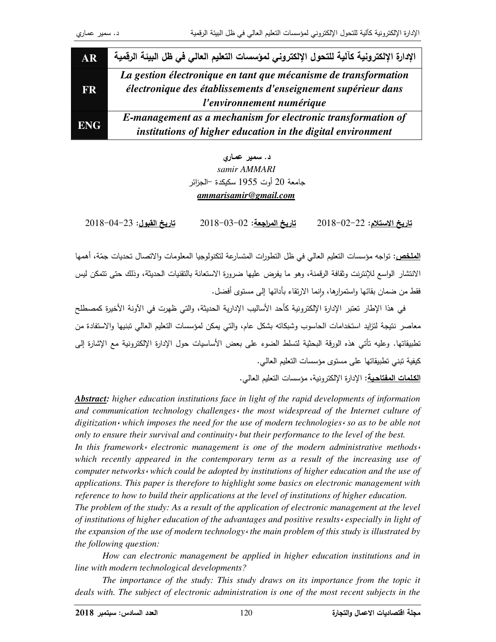| AR         | الإدارة الإلكترونية كآلية للتحول الإلكتروني لمؤسسات التعليم العالى في ظل البيئة الرقمية                                                                       |
|------------|---------------------------------------------------------------------------------------------------------------------------------------------------------------|
| FR.        | La gestion électronique en tant que mécanisme de transformation<br>électronique des établissements d'enseignement supérieur dans<br>l'environnement numérique |
| <b>ENG</b> | E-management as a mechanism for electronic transformation of<br>institutions of higher education in the digital environment                                   |

د . سمير عماري *samir AMMARI*  جامعة 20 أوت 1955 سكيكدة –الجزائر *ammarisamir@gmail.com*

 $2018 - 02 - 22$  : تاريخ الاستلام  $2018 - 03 - 02$ : تاريخ المراجعة: 2012 <u>تاريخ القبول</u>: 23–04–2018

<mark>الملخص</mark>: تواجه مؤسسات النعليم العالي في ظل النطورات المتسارعة لتكنولوجيا المعلومات والاتصال تحديات جمّة، أهمها الانتشار الواسع للإنترنت وثقافة الرقمنة، وهو ما يفرض عليها ضرورة الاستعانة بالتقنيات الحديثة، وذلك حتى نتمكن ليس فقط من ضمان بقائها واستمرارها، وإنما الارتقاء بأدائها إلى مستوى أفضل. ٕ

في هذا الإطار تعتبر الإدارة الإلكترونية كأحد الأساليب الإدارية الحديثة، والتي ظهرت في الأونة الأخيرة كمصطلح معاصر نتيجة لتزايد استخدامات الحاسوب وشبكاته بشكل عام، والتي يمكن لمؤسسات التعليم العالي تبنيها والاستفادة من تطبيقاتها. وعليه تأتي هذه الورقة البحثية لتسلط الضوء على بعض الأساسيات حول الإدارة الإلكترونية مع الإشارة إلى كيفية نبني تطبيقاتها على مستوى مؤسسات التعليم العالي.

<u>الكلمات المفتاحية</u>: الإدارة الإلكترونية، مؤسسات التعليم العالي.

*Abstract: higher education institutions face in light of the rapid developments of information and communication technology challenges*، *the most widespread of the Internet culture of digitization*، *which imposes the need for the use of modern technologies*، *so as to be able not only to ensure their survival and continuity*، *but their performance to the level of the best.* 

*In this framework*، *electronic management is one of the modern administrative methods*، which recently appeared in the contemporary term as a result of the increasing use of *computer networks*، *which could be adopted by institutions of higher education and the use of applications. This paper is therefore to highlight some basics on electronic management with reference to how to build their applications at the level of institutions of higher education.* 

*The problem of the study: As a result of the application of electronic management at the level of institutions of higher education of the advantages and positive results*، *especially in light of the expansion of the use of modern technology*، *the main problem of this study is illustrated by the following question:* 

*How can electronic management be applied in higher education institutions and in line with modern technological developments?* 

*The importance of the study: This study draws on its importance from the topic it deals with. The subject of electronic administration is one of the most recent subjects in the*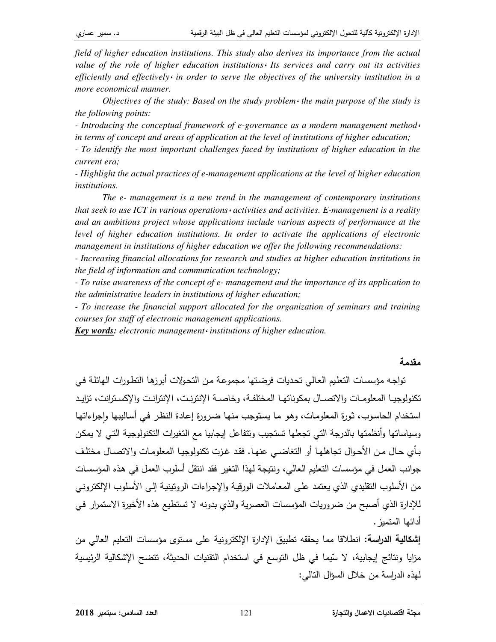*field of higher education institutions. This study also derives its importance from the actual value of the role of higher education institutions*، *Its services and carry out its activities efficiently and effectively*، *in order to serve the objectives of the university institution in a more economical manner.* 

*Objectives of the study: Based on the study problem*، *the main purpose of the study is the following points:* 

*- Introducing the conceptual framework of e-governance as a modern management method*، *in terms of concept and areas of application at the level of institutions of higher education;* 

*- To identify the most important challenges faced by institutions of higher education in the current era;* 

*- Highlight the actual practices of e-management applications at the level of higher education institutions.* 

*The e- management is a new trend in the management of contemporary institutions that seek to use ICT in various operations*، *activities and activities. E-management is a reality and an ambitious project whose applications include various aspects of performance at the level of higher education institutions. In order to activate the applications of electronic management in institutions of higher education we offer the following recommendations:* 

*- Increasing financial allocations for research and studies at higher education institutions in the field of information and communication technology;* 

*- To raise awareness of the concept of e- management and the importance of its application to the administrative leaders in institutions of higher education;* 

*- To increase the financial support allocated for the organization of seminars and training courses for staff of electronic management applications.* 

*Key words: electronic management*، *institutions of higher education.*

### مقدمة

تواجه مؤسسات التعليم العالي تحديات فرضتها مجموعة من التحولات أبرزها التطورات الهائلة في تكنولوجيـا المعلومـات والاتصــال بمكوناتهـا المختلفـة، وخاصــة الإنترزنـت، الإنترانـت والإكسـترانت، تزايـد استخدام الحاسوب، ثورة المعلومات، وهو ما يستوجب منها ضىرورة إعادة النظر في أساليبها وإجراءاتها وسياساتها وأنظمتها بالدرجة التي تجعلها تستجيب وتتفاعل إيجابيا مع التغيرات التكنولوجية التي لا يمكن بأي حال من الأحوال تجاهلها أو التغاضـي عنهـا. فقد غزت تكنولوجيـا المعلومـات والاتصـال مختلـف جوانب العمل في مؤسسات التعليم العالي، ونتيجة لهذا التغير فقد انتقل أسلوب العمل في هذه المؤسسات من الأسلوب التقليدي الذي يعتمد على المعاملات الورقية والإجراءات الروننينية إلى الأسلوب الإلكترونـي للإدارة الذي أصبح من ضروريات المؤسسات العصرية والذي بدونه لا تستطيع هذه الأخيرة الاستمرار في أدائها المتميز .

إ**شكالية الدراسة**: انطلاقا مما يحققه تطبيق الإدارة الإلكترونية على مستوى مؤسسات التعليم العالي من مزايا ونتائج إيجابية، لا سّيما في ظل التوسع في استخدام التقنيات الحديثة، تتضح الإشكالية الرئيسية لهذه الدراسة من خلال السؤال التالي: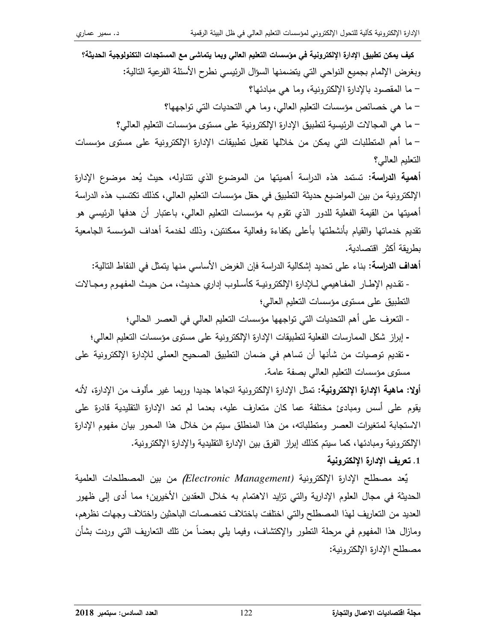كيف يمكن تطبيق الإدارة الإلكترونية في مؤسسات التعليم العالي وبما يتماشى مع المستجدات التكنولوجية الحديثة؟ وبغرض الإلمام بجميع النواحي التى يتضمنها السؤال الرئيسى نطرح الأسئلة الفرعية التالية: – ما المقصود بالإدارة الإلكترونية، وما هي مبادئها؟ – ما هي خصائص مؤسسات التعليم العالي، وما هي التحديات التي تواجهها؟ – ما هي المجالات الرئيسية لنطبيق الإدارة الإلكترونية على مستوى مؤسسات النعليم العالي؟ – ما أهم المتطلبات التي يمكن من خلالها تفعيل تطبيقات الإدارة الإلكترونية على مستوى مؤسسات النعليم العالي؟ **أهمية الدراسة:** تستمد هذه الدراسة أهميتها من الموضوع الذي تتناوله، حيث يُعد موضوع الإدارة الإلكترونية من بين المواضيع حديثة التطبيق في حقل مؤسسات التعليم العالي، كذلك تكتسب هذه الدراسة أهميتها من القيمة الفعلية للدور الذي تقوم به مؤسسات التعليم العالمي، باعتبار أن هدفها الرئيسي هو تقديم خدماتها والقيام بأنشطتها بأعلى بكفاءة وفعالية ممكنتين، وذلك لخدمة أهداف المؤسسة الجامعية بطريقة أكثر اقتصادية. أهداف الدراسة: بناء على تحديد إشكالية الدراسة فإن الغرض الأساسي منها يتمثِّل في النقاط التالية: - تقديم الإطــار المفـاهيمي لــلإدارة الإلكترونيــة كأسـلوب إداري حـديث، مــن حيـث المفهـوم ومجــالات النطبيق على مسنوى مؤسسات النعليم العالمي؛ - النعرف على أهم النحديات التي تواجهها مؤسسات النعليم العالي في العصر الحالي؛ - إبراز شكل الممارسات الفعلية لنطبيقات الإدارة الإلكترونية على مستوى مؤسسات النعليم العالي؛ - تقديم توصيات من شأنها أن تساهم في ضمان التطبيق الصحيح العملي للإدارة الإلكترونية على مستوى مؤسسات التعليم العالي بصفة عامة. أ**ولا: ماهية الإدارة الإلكترونية:** تمثل الإدارة الإلكترونية اتجاها جديدا وربما غير مألوف من الإدارة، لأنه يقوم على أسس ومبادئ مختلفة عما كان متعارف عليه، بعدما لم تعد الإدارة التقليدية قادرة على

الاستجابة لمتغيرات العصر ومتطلباته، من هذا المنطلق سيتم من خلال هذا المحور بيان مفهوم الإدارة الإلكترونية ومبادئها، كما سيتم كذلك إبراز الفرق بين الإدارة التقليدية والإدارة الإلكترونية.

#### 1. تعريف الإدارة الإلكتر ونبة

يِّعد مصطلح الإدارة الإلكترونية (Electronic Management*) من* بين المصطلحات العلمية الحديثة في مجال العلوم الإدارية والتي نزايد الاهتمام به خلال العقدين الأخيرين؛ مما أدى إلى ظهور العديد من التعاريف لهذا المصطلح والتي اختلفت باختلاف تخصصات الباحثين واختلاف وجهات نظرهم، ومازال هذا المفهوم في مرحلة النطور والإكتشاف، وفيما يلي بعضاً من نلك النعاريف النبي وردت بشأن مصطلح الإدارة الإلكترونية: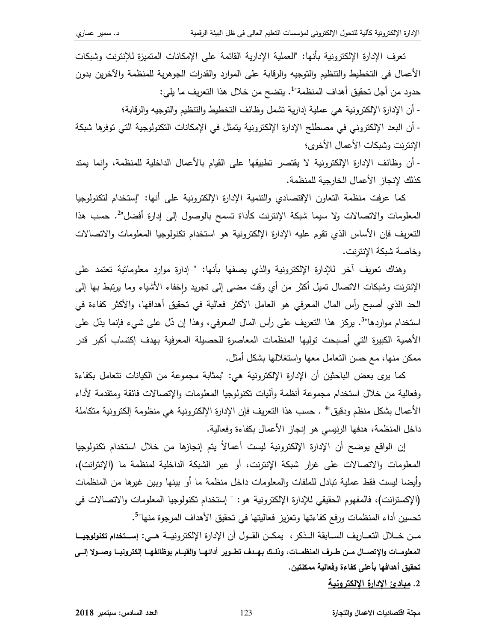تعرف الإدارة الإلكترونية بأنها: "العملية الإدارية القائمة على الإمكانات المتميزة للإنترنت وشبكات الأعمال في التخطيط والتنظيم والتوجيه والرقابة على الموارد والقدرات الجوهرية للمنظمة والآخرين بدون حدود من أجل تحقيق أهداف المنظمة"1. يتضح من خلال هذا التعريف ما يلي:

- أن الإدارة الإلكترونية هي عملية إدارية نشمل وظائف التخطيط والنتظيم والنوجيه والرقابة؛

- أن البعد الإلكتروني في مصطلح الإدارة الإلكترونية يتمثل في الإمكانات التكنولوجية التي توفرها شبكة الإنترنت وشبكات الأعمال الأخرى؛

- أن وظائف الإدارة الإلكترونية لا يقتصر تطبيقها على القيام بالأعمال الداخلية للمنظمة، وانما يمتد كذلك لإنجاز الأعمال الخارجية للمنظمة.

كما عرفت منظمة النعاون الإقتصادي والنتمية الإدارة الإلكترونية على أنها: "إستخدام لتكنولوجيا المعلومات والاتصالات ولا سيما شبكة الإنترنت كأداة تسمح بالوصول إلىي إدارة أفضل"2. حسب هذا النعريف فإن الأساس الذي نقوم عليه الإدارة الإلكترونية هو استخدام نكنولوجيا المعلومات والاتصالات وخاصة شبكة الإنترنت.

وهناك تعريف أخر للإدارة الإلكترونية والذي يصفها بأنها: " إدارة موارد معلوماتية تعتمد على الإنترنت وشبكات الاتصال تميل أكثر من أي وقت مضىي إلى تجريد واخفاء الأشياء وما برنبط بها إلى الحد الذي أصبح رأس المال المعرفي هو العامل الأكثر فعالية في تحقيق أهدافها، والأكثر كفاءة في استخدام مواردها"<sup>3</sup>. يركز هذا التعريف على رأس المال المعرفي، وهذا إن دّل على شيء فإنما يدّل على الأهمية الكبيرة التي أصبحت توليها المنظمات المعاصرة للحصبلة المعرفية بهدف إكتساب أكبر قدر ممكن منها، مع حسن النعامل معها واستغلالها بشكل أمثل.

كما يرى بعض الباحثين أن الإدارة الإلكترونية هي: "بمثابة مجموعة من الكيانات نتعامل بكفاءة وفعالية من خلال استخدام مجموعة أنظمة وأليات تكنولوجيا المعلومات والإتصالات فائقة ومتقدمة لأداء الأعمال بشكل منظم ودقيق" • ـ حسب هذا النعريف فإن الإدارة الإلكترونية هي منظومة إلكترونية متكاملة داخل المنظمة، هدفها الرئيسي هو إنجاز الأعمال بكفاءة وفعالية.

إن الواقع يوضح أن الإدارة الإلكترونية ليست أعمالاً يتم إنجازها من خلال استخدام تكنولوجيا المعلومات والاتصالات على غرار شبكة الإنترنت، أو عبر الشبكة الداخلية لمنظمة ما (الإنترانت)، وأيضا ليست فقط عملية نبادل للملفات والمعلومات داخل منظمة ما أو بينها وبين غيرها من المنظمات (الإكسترانت)، فالمفهوم الحقيقي للإدارة الإلكترونية هو: " إستخدام تكنولوجيا المعلومات والاتصالات في تحسين أداء المنظمات ورفع كفاءتها وتعزيز فعاليتها في تحقيق الأهداف المرجوة منها"<sup>5</sup>.

مـن خــلال التعــاريف الســابقة الــذكر ، يمكــن القــول أن الإدارة الإلكترونيــة هــي: إســتخدام تكنولوجيــا المعلومــات والإتصــال مــن طــرف المنظمــات، وذلــك بـهــدف تطــوير أدائـهــا والقيــام بوظائـفهــا إلكترونيــا وصـــولا إلـــى تحقيق أهدافها بأعلى كفاءة وفعالية ممكنتين.

2. <u>مبادئ الإدارة الإلكترونية</u>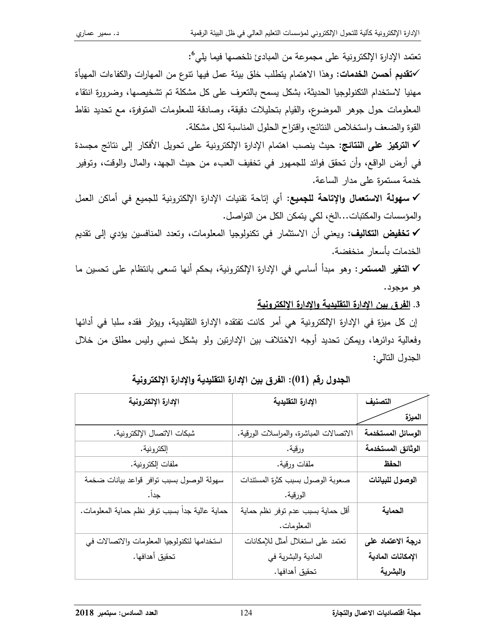تعتمد الإدارة الإلكترونية على مجموعة من المبادئ نلخصـها فيما يلي°:

**∕تقديم أحسن الخدمات:** وهذا الاهتمام يتطلب خلق بيئة عمل فيها نتوع من المهارات والكفاءات المهيأة مهنيا لاستخدام التكنولوجيا الحديثة، بشكل يسمح بالتعرف على كل مشكلة تم تشخيصها، وضرورة انتقاء المعلومات حول جوهر الموضوع، والقيام بتحليلات دقيقة، وصادقة للمعلومات المتوفرة، مع تحديد نقاط القوة والضعف واستخلاص النتائج، واقتراح الحلول المناسبة لكل مشكلة.

✔ ا**لتركيز على النتائج:** حيث ينصب اهتمام الإدارة الإلكترونية على تحويل الأفكار إلى نتائج مجسدة في أرض الواقع، وأن تحقق فوائد للجمهور في تخفيف العبء من حيث الجهد، والمال والوقت، وتوفير خدمة مستمرة على مدار الساعة.

√ سهولة الاستعمال والإتاحة للجميع: أي إتاحة تقنيات الإدارة الإلكترونية للجميع في أماكن العمل والمؤسسات والمكتبات...الخ، لكي يتمكن الكل من التواصل.

**√ تخفيض التكاليف:** ويعني أن الاستثمار في تكنولوجيا المعلومات، وتعدد المنافسين يؤدي إلى تقديم الخدمات بأسعار منخفضة.

**√ التغير المستمر**: وهو مبدأ أساسى في الإدارة الإلكترونية، بحكم أنها تسعى بانتظام على تحسين ما هو موجود.

3. الفرق بين الإدارة التقليدية والإدارة الإلكترونية

إن كل ميزة في الإدارة الإلكترونية هي أمر كانت تفتقده الإدارة التقليدية، ويؤثر فقده سلبا في أدائها وفعالية دوائرها، ويمكن تحديد أوجه الاختلاف بين الإدارتين ولو بشكل نسبى وليس مطلق من خلال الجدول التالي:

| الإدارة الإلكترونية                             | الإدارة التقليدية                       | التصنيف           |
|-------------------------------------------------|-----------------------------------------|-------------------|
|                                                 |                                         | الميزة            |
| شبكات الاتصال الإلكترونية.                      | الاتصالات المباشرة، والمراسلات الورقية. | الوسائل المستخدمة |
| إلكترونية.                                      | ورقية.                                  | الوثائق المستخدمة |
| ملفات إلكترونية.                                | ملفات ورقية.                            | الحفظ             |
| سهولة الوصول بسبب نوافر قواعد بيانات ضخمة       | صعوبة الوصول بسبب كثرة المستندات        | الوصول للبيانات   |
| جدا .                                           | الورقية.                                |                   |
| حماية عالية جداً بسبب نوفر نظم حماية المعلومات. | أقل حماية بسبب عدم نوفر نظم حماية       | الحماية           |
|                                                 | المعلومات.                              |                   |
| استخدامها لتكنولوجيا المعلومات والاتصالات في    | تعتمد على استغلال أمثل للإمكانات        | درجة الاعتماد على |
| تحقيق أهدافها.                                  | المادية والبشرية في                     | الإمكانات المادية |
|                                                 | تحقيق أهدافها.                          | والبشرية          |

الجدول رقم (01): الفرق بين الإدارة التقليدية والإدارة الإلكترونية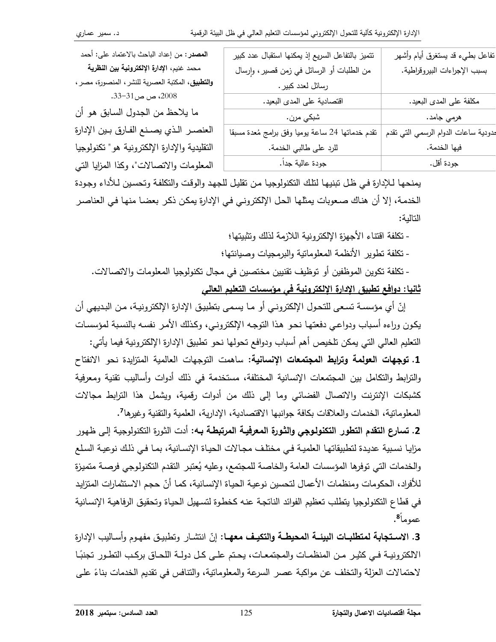| نتميز بالتفاعل السريع إذ يمكنها استقبال عدد كبير | نفاعل بطيء قد يستغرق أيام وأشهر      |
|--------------------------------------------------|--------------------------------------|
| من الطلبات أو الرسائل في زمن قصير، وإرسال        | بسبب الإجراءات البيروقراطية.         |
| رسائل لعدد كبير .                                |                                      |
| اقتصادية على المدى البعيد.                       | مكلفة على المدى البعيد.              |
| شبكي مرن.                                        | هرمي جامد.                           |
| نقدم خدماتها 24 ساعة بوميا وفق برامج مُعدة مسبقا | مدودية ساعات الدوام الرسمي التي تقدم |
| للرد على طالبي الخدمة.                           | فيها الخدمة.                         |
| جودة عالية جداً.                                 | جودة أقل.                            |

**المصدر :** من إعداد الباحث بالاعتماد على: أحمد محمد غنيم، الإدارة الإلكترونية بين النظرية وا**لتطبيق**، المكتبة العصرية للنشر ، المنصورة، مصر ، 2008، ص ص31-33.

ما يلاحظ من الجدول السابق هو أن العنصر الذي يصنع الفارق بين الإدارة النقليدية والإدارة الإلكترونية هو " تكنولوجيا المعلومات والاتصالات"، وكذا المزايا التي

يمنحها لـلإدارة فـي ظـل تبنيهـا لتلك التكنولوجيـا مـن تقليل للجهد والوقت والتكلفـة وتحسين لـلأداء وجودة الخدمة، إلا أن هناك صعوبات يمثلها الحل الإلكتروني في الإدارة يمكن ذكر بعضا منها في العناصر التالمة:

- تكلفة افتناء الأجهزة الإلكترونية اللازمة لذلك وتثبيتها؛

- تكلفة نطوير الأنظمة المعلومانية والبرمجيات وصبانتها؛

- تكلفة تكوين الموظفين أو توظيف تقنيين مختصين في مجال تكنولوجيا المعلومات والاتصالات. <u>ثانيا: دوافع تطبيق الإدارة الإلكترونية في مؤسسات التعليم العالي</u>

إنّ أي مؤسسة تسعى للتحول الإلكتروني أو ما يسمى بتطبيق الإدارة الإلكترونية، من البديهي أن يكون وراءه أسباب ودواعي دفعتها نحو هذا التوجه الإلكتروني، وكذلك الأمر نفسه بالنسبة لمؤسسات النعليم العالي التي يمكن تلخيص أهم أسباب ودوافع تحولها نحو نطبيق الإدارة الإلكترونية فيما يأتي: 1. توجهات العولمة وترابط المجتمعات الإنسانية: ساهمت التوجهات العالمية المتزايدة نحو الانفتاح والترابط والتكامل بين المجتمعات الإنسانية المختلفة، مستخدمة في ذلك أدوات وأساليب نقنية ومعرفية كشبكات الإنترنت والاتصال الفضائي وما إلى ذلك من أدوات رقمية، ويشمل هذا الترابط مجالات المعلومانية، الخدمات والعلاقات بكافة جوانبها الاقتصادية، الإدارية، العلمية والتقنية وغيرها7.

2. تسارع التقدم التطور التكنولوجي والثورة المعرفيـة المرتبطـة بــه: أدت الثورة التكنولوجيـة إلـي ظهور مزايا نسبية عديدة لتطبيقاتها العلمية في مختلف مجالات الحياة الإنسانية، بما في ذلك نوعية السلع والخدمات التي توفرها المؤسسات العامة والخاصة للمجتمع، وعليه يُعتبر التقدم التكنولوجي فرصة متميزة للأفراد، الحكومات ومنظمات الأعمال لتحسين نوعية الحياة الإنسانية، كما أنّ حجم الاستثمارات المتزايد في قطاع التكنولوجيا يتطلب تعظيم الفوائد الناتجة عنه كخطوة لتسهيل الحياة وتحقيق الرفاهية الإنسانية عموماً<sup>8</sup>.

3. الاستجابة لمتطلبـات البيئــة المحيطــة والتكيـف معهــا: إنّ انتشـار وتطبيـق مفهـوم وأسـاليب الإدارة الالكترونيــة فـي كثيـر مـن المنظمـات والمجتمعـات، يحـتم علـي كـل دولــة اللحـاق بركـب التطـور تجنبًـا لاحتمالات العزلة والتخلف عن مواكبة عصر السرعة والمعلومانية، والتنافس في تقديم الخدمات بناءً على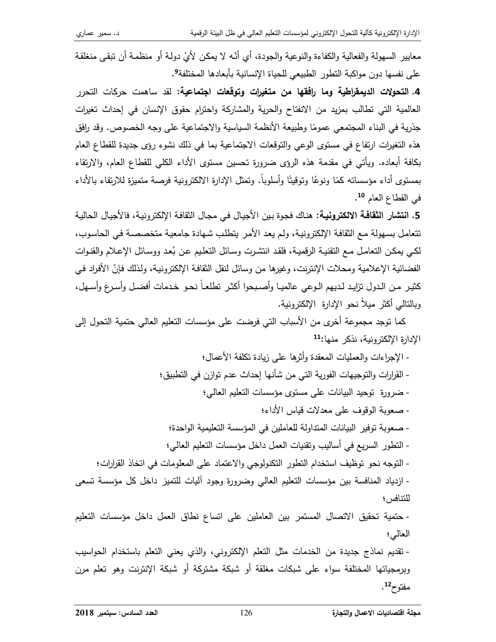معايير السهولة والفعالية والكفاءة والنوعية والجودة، أي أنّه لا يمكن لأيُ دولة أو منظمة أن تبقى منغلقة على نفسها دون مواكبة التطور الطبيعي للحياة الإنسانية بأبعادها المختلفة<sup>9</sup>.

4. ا**لتحولات الديمقراطية وما رافقها من متغيرات وتوقعات اجتماعية: ل**قد ساهمت حركات التحرر العالمية التي نطالب بمزيد من الانفتاح والحرية والمشاركة واحترام حقوق الإنسان في إحداث تغيرات جذرية في البناء المجتمعي عمومًا وطبيعة الأنظمة السياسية والاجتماعية على وجه الخصوص. وقد رافق هذه التغيرات ارتفاع في مستوى الوعي والتوقعات الاجتماعية بما في ذلك نشوء رؤى جديدة للقطاع العام بكافة أبعاده. ويأتـي فـي مقدمة هذه الرؤى ضرورة تحسين مستوى الأداء الكلـي للقطاع العام، والارتقاء بمستوى أداء مؤسساته كمًا ونوعًا ونوفيتًا وأسلوباً. ونمثل الإدارة الالكترونية فرصة متميزة للارتقاء بالأداء في القطاع العام <sup>10</sup>.

5. ا**نتشار الثقافة الالكترونية:** هناك فجوة بين الأجيال في مجال الثقافة الإلكترونية، فالأجيال الحالية تتعامل بسهولة مع الثقافة الإلكترونية، ولم يعد الأمر يتطلب شهادة جامعية متخصصة في الحاسوب، لكي يمكن النعامل مـع النقنيـة الرقميـة، فلقد انتشرت وسـائل النعليم عن بُعد ووسـائل الإعـلام والقنـوات الفضائية الإعلامية ومحلات الإنترنت، وغيرها من وسائل لنقل الثقافة الإلكترونية، ولذلك فإنّ الأفراد في كثير من الدول نزايد لديهم الـوعي عالميـا وأصـبحوا أكثـر نطلعـاً نحـو خـدمات أفضـل وأسـرع وأسـهل، وبالتالي أكثر ميلاً نحو الإدارة الإلكترونية.

كما توجد مجموعة أخرى من الأسباب التي فرضت على مؤسسات التعليم العالي حتمية التحول إلى الإدارة الإلكترونية، نذكر منها:11

العالي؛ - نقديم نماذج جديدة من الخدمات مثل التعلم الإلكتروني، والذي يعني النعلم باستخدام الحواسيب

وبرمجياتها المختلفة سواء على شبكات مغلقة أو شبكة مشتركة أو شبكة الإنترنت وهو تعلم مرن مفتوح12.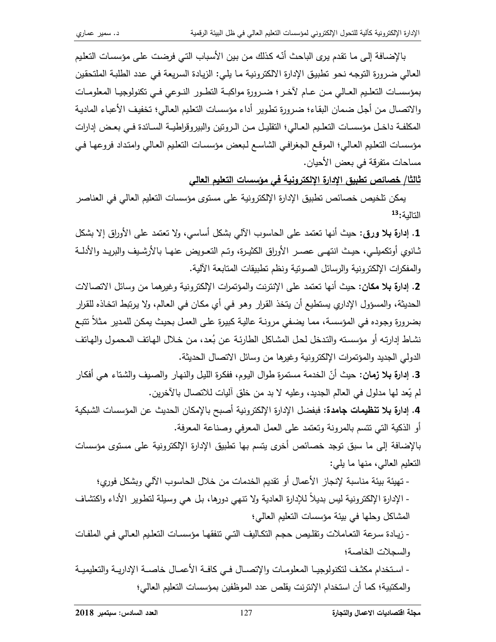بالإضافة إلى ما نقدم يرى الباحث أنّه كذلك من بين الأسباب التي فرضت على مؤسسات التعليم العالي ضرورة التوجه نحو تطبيق الإدارة الالكترونية ما يلي: الزيادة السريعة في عدد الطلبة الملتحقين بمؤسسات النعليم العـالي مـن عـام لآخـر ؛ ضـرورة مواكبــة النطـور الذوعي فـي نكنولوجيـا المعلومـات والاتصال من أجل ضمان البقاء؛ ضرورة نطوير أداء مؤسسات النعليم العالمي؛ نخفيف الأعباء المادية المكلفـة داخـل مؤسسـات التعلـيم العـالـي؛ النقليـل مـن الـرونين والبيروقراطيـة السـائدة فـي بعـض إدارات مؤسسات التعليم العالي؛ الموقع الجغرافي الشاسع لبعض مؤسسات التعليم العالي وامتداد فروعها في مساحات منفرقة في بعض الأحيان.

ثالثا/ خصائص تطبيق الإدارة الإلكترونية في مؤسسات التعليم العالي

يمكن تلخيص خصائص تطبيق الإدارة الإلكترونية على مستوى مؤسسات التعليم العالي في العناصر التالية:13

1. إدارة بلا ورقي: حيث أنها نعتمد على الحاسوب الآلي بشكل أساسي، ولا نعتمد على الأوراق إلا بشكل ثـانوي أوتكميلـي، حيـث انتهـي عصـر الأوراق الكثيـرة، وتـم التعـويض عنهـا بالأرشـيف والبريـد والأدلــة والمفكرات الإلكترونية والرسائل الصونية ونظم تطبيقات المنابعة الآلية.

2. إ**دارة بـلا مكان:** حيث أنـها تعتمد علـى الإنترنت والمؤتمرات الإلكترونية وغيرهما من وسائل الاتصـالات الحديثة، والمسؤول الإداري يستطيع أن يتخذ القرار وهو في أي مكان في العالم، ولا يرتبط اتخاذه للقرار بضرورة وجوده في المؤسسة، مما يضفي مرونـة عاليـة كبيرة علـى العمل بحيث يمكن للمدير مثلاً تتبـع نشاط إدارتِه أو مؤسسته والتدخل لحل المشاكل الطارئية عن بُعد، من خلال الهاتف المحمول والهاتف الدولي الجديد والمؤتمرات الإلكترونية وغيرها من وسائل الاتصال الحديثة.

3. إدارة بلا زمان: حيث أنّ الخدمة مستمرةٍ طوال اليوم، ففكرة الليل والنهار ِ والصبف والشتاء هي أفكار لم يِّعد لها مدلول في العالم الجديد، وعليه لا بد من خلق آليات للاتصال بالآخرين.

4. إدارة بلا تنظيمات جامدة: فبفضل الإدارة الإلكترونية أصبح بالإمكان الحديث عن المؤسسات الشبكية أو الذكية التي نتسم بالمرونة ونعتمد على العمل المعرفي وصناعة المعرفة.

بالإضافة إلى ما سبق توجد خصائص أخرى بتسم بها تطبيق الإدارة الإلكترونية على مستوى مؤسسات النعليم العالي، منها ما يلي:

- تهيئة بيئة مناسبة لإنجاز الأعمال أو تقديم الخدمات من خلال الحاسوب الآلي وبشكل فوري؛
- الإدارةِ الإلكترونية ليس بديلاً للإدارةِ العاديةِ ولا تنهي دورها، بل هي وسيلةِ لتطويرِ الأداءِ واكتشاف المشاكل وحلها في بيئة مؤسسات النعليم العالي؛
- زيـادة سـرعة النعـاملات ونقلـيص حجـم النكـاليف النـي نتفقهـا مؤسسـات النعلـيم العـالـي فـي الملفـات والسجلات الخاصة؛
- استخدام مكثف لتكنولوجيـا المعلومـات والإتصــال فـي كافــة الأعمــال خاصــة الإداريــة والتعليميــة والمكتبية؛ كما أن استخدام الإنترنت يقلص عدد الموظفين بمؤسسات التعليم العالي؛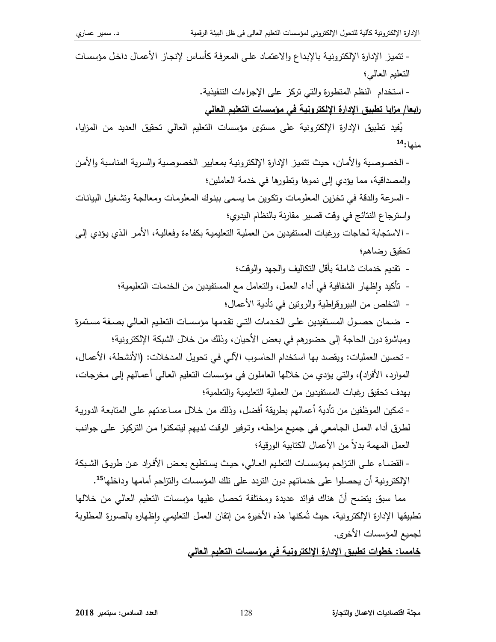- نتميز الإدارة الإلكترونية بالإبداع والاعتماد على المعرفة كأساس لإنجاز الأعمال داخل مؤسسات التعليم العالي؛

- استخدام النظم المتطورة والتي تركز على الإجراءات التنفيذية.

<u>رابعا/ مزايا تطبيق الإدارة الإلكترونية في مؤسسات التعليم العالي</u>

يُفيد تطبيق الإدارة الإلكترونية على مستوى مؤسسات التعليم العالي تحقيق العديد من المزايا، منها:<sup>14</sup>

- الخصوصية والأمان، حيث تتميز الإدارة الإلكترونية بمعايير الخصوصية والسرية المناسبة والأمن والمصداقية، مما يؤدي إلى نموها ونطورها في خدمة العاملين؛ - السرعة والدقة في تخزين المعلومات وتكوين ما يسمى ببنوك المعلومات ومعالجة وتشغيل البيانات واسترجاع النتائج في وقت قصير مقارنة بالنظام اليدوي؛ - الاستجابة لحاجات ورغبات المستفيدين من العملية التعليمية بكفاءة وفعالية، الأمر الذي يؤدي إلى تحقيق رضاهم؛ - نقديم خدمات شاملة بأقل النكاليف والجهد والوقت؛ - تأكيد وإظهار الشفافية في أداء العمل، والتعامل مع المستفيدين من الخدمات التعليمية؛ - التخلص من البيروقراطية والرونين في تأدية الأعمال؛ - ضـمان حصـول المسـتفيدين علـى الخـدمات التـي تقـدمها مؤسسـات التعلـيم العـالي بصـفة مسـتمرة ومباشرة دون الحاجة إلى حضورهم في بعض الأحيان، وذلك من خلال الشبكة الإلكترونية؛ - نحسين العمليات: ويقصد بها استخدام الحاسوب الآلي في تحويل المدخلات: (الأنشطة، الأعمال، الموارد، الأفراد)، والتي يؤدي من خلالها العاملون في مؤسسات التعليم العالي أعمالهم إلى مخرجات، بـهدف تحقيق رغبات المستفيدين من الـعملية التعليمية والتعلمية؛ - نمكين الموظفين من نأدية أعمالهم بطريقة أفضل، وذلك من خلال مساعدتهم على المتابعة الدورية لطرق أداء العمل الجامعي في جميع مراحله، وتوفير الوقت لديهم ليتمكنوا من التركيز على جوانب العمل المهمة بدلا من الأعمال الكتابية الورقية؛ - القضـاء علـى التزاحم بمؤسسـات التعليم العـالي، حيث يستطيع بعض الأفراد عن طريـق الشـبكة الإلكترونية أن يحصلوا على خدماتهم دون التردد على تلك المؤسسات والتزاحم أمامها وداخلها<sup>15</sup>.

مما سبق يتضح أنّ هناك فوائد عديدة ومختلفة تحصل عليها مؤسسات التعليم العالي من خلالها تطبيقها الإدارة الإلكترونية، حيث تُمكنها هذه الأخيرة من إنقان العمل التعليمي وإظهاره بالصورة المطلوبة ٕ لجميع المؤسسات الأخرى.

<u>خامسا: خطوات تطبيق الإدارة الإلكترونية في مؤسسات التعليم العالي</u>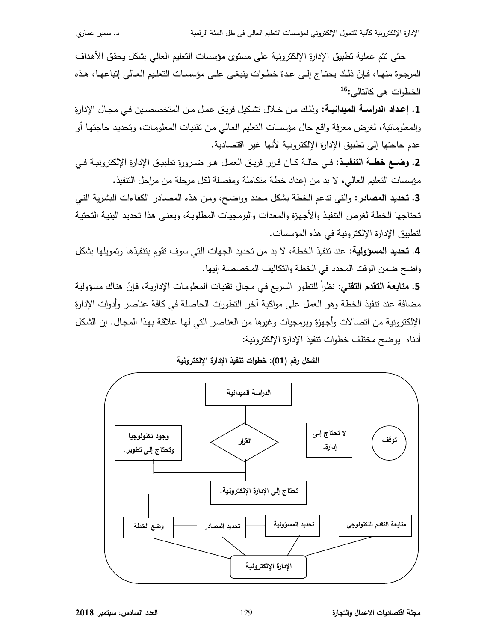حتى نتم عملية تطبيق الإدارة الإلكترونية على مستوى مؤسسات التعليم العالي بشكل يحقق الأهداف المرجوة منهـا، فـإنّ ذلك يحتـاج إلـى عدة خطـوات ينبغـى علـى مؤسسـات النعلـيم العـالـى إنباعهـا، هـذه الخطوات هي كالتالي:<sup>16</sup>

1. إ**عداد الدراســـة الميدانيــة**: وذلك مـن خــلال تشكيل فريـق عمـل مـن المتخصصـين فـي مجـال الإدارة والمعلومانية، لغرض معرفة واقع حال مؤسسات النعليم العالمي من نقنيات المعلومات، ونحديد حاجتها أو عدم حاجتها إلى تطبيق الإدارة الإلكترونية لأنها غير اقتصادية.

2. **وضـع خطــة التنفيــذ**: فـي حالــة كــان قـرار فريـق الـعمــل هـو ضــرورة تطبيـق الإدارة الإلكترونيــة فـي مؤسسات النعليم العالي، لا بد من إعداد خطة متكاملة ومفصلة لكل مرحلة من مراحل النتفيذ.

3. تحديد المصادر: والتي تدعم الخطة بشكل محدد وواضح، ومن هذه المصـادر الكفاءات البشرية التـي تحتاجها الخطة لغرض التتفيذ والأجهزة والمعدات والبرمجيات المطلوبة، ويعني هذا تحديد البنية التحتية لتطبيق الإدارة الإلكترونية في هذه المؤسسات.

4. تحديد المسؤولية: عند تنفيذ الخطة، لا بد من تحديد الجهات التي سوف تقوم بتنفيذها وتمويلها بشكل واضح ضمن الوقت المحدد في الخطة والتكاليف المخصصة إليها.

5. م**تابعة التقدم التقني**: نظراً للتطور السريع في مجال تقنيات المعلومات الإدارية، فإنّ هناك مسؤولية مضافة عند نتفيذ الخطة وهو العمل على مواكبة آخر التطورات الحاصلة في كافة عناصر وأدوات الإدارة الإلكترونية من انصالات وأجهزة وبرمجيات وغيرها من العناصر التي لها علاقة بهذا المجال. إن الشكل أدناه يوضح مختلف خطوات تتفيذ الإدارة الإلكترونية:



الشكل رقم (01): خطوات تنفيذ الإدارة الإلكترونية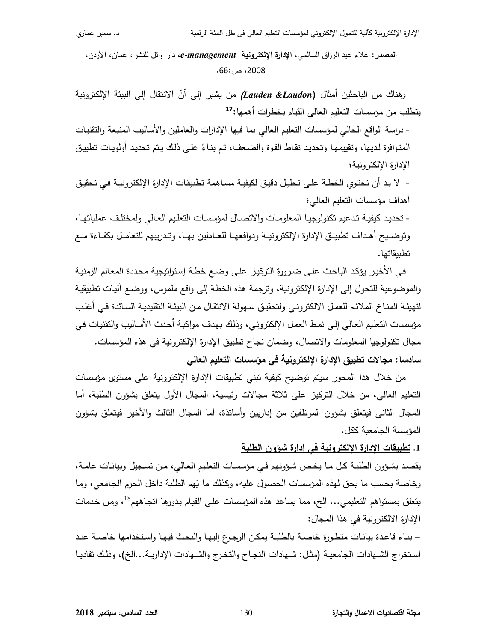المصدر : علاء عبد الرزاق السالمي، الإدارة الإلكترونية e-management، دار وائل للنشر ، عمان، الأردن، 2008، ص:66.

وهناك من الباحثين أمثال (Lauden &Laudon*)* من يشير إلى أنّ الانتقال إلى البيئة الإلكترونية يتطلب من مؤسسات التعليم العالي القيام بخطوات أهمها:17

- دراسة الواقع الحالي لمؤسسات النعليم العالمي بما فيها الإدارات والعاملين والأساليب المتبعة والتقنيات المتوافرة لديها، وتقييمها وتحديد نقاط القوة والضعف، ثم بناءً على ذلك يتم تحديد أولويات تطبيق الإدارة الإلكتر ونبة؛

- لا بد أن تحتوي الخطـة علـى تحليل دقيق لكيفيـة مسـاهمـة تطبيقات الإدارة الإلكترونيـة فـي تحقيق أهداف مؤسسات التعليم العالمي؛

- تحديد كيفية تدعيم تكنولوجيا المعلومات والاتصال لمؤسسات التعليم العالى ولمختلف عملياتها، وتوضـيح أهـداف تطبيـق الإدارة الإلكترونيـة ودوافعهـا للعـاملين بـهـا، وتـدريبهم للتعامـل بكفـاءة مـع تطببقاتها.

في الأخير يؤكد الباحث على ضرورة التركيز على وضع خطة إستراتيجية محددة المعالم الزمنية والموضوعية للتحول إلى الإدارة الإلكترونية، وترجمة هذه الخطة إلى واقع ملموس، ووضع أليات تطبيقية لتهيئة المناخ الملائم للعمل الالكتروني ولتحقيق سهولة الانتقال من البيئة التقليدية السائدة في أغلب مؤسسات التعليم العالي إلى نمط العمل الإلكتروني، وذلك بهدف مواكبة أحدث الأساليب والتقنيات في مجال تكنولوجيا المعلومات والاتصال، وضمان نجاح تطبيق الإدارة الإلكترونية في هذه المؤسسات. <u>سادسا: مجالات تطبيق الإدارة الإلكترونية في مؤسسات التعليم العالي</u>

من خلال هذا المحور سيتم توضيح كيفية تبني تطبيقات الإدارة الإلكترونية على مستوى مؤسسات التعليم العالي، من خلال التركيز على ثلاثة مجالات رئيسية، المجال الأول يتعلق بشؤون الطلبة، أما المجال الثاني فيتعلق بشؤون الموظفين من إداريين وأساتذة، أما المجال الثالث والأخير فيتعلق بشؤون المؤسسة الجامعبة ككل.

## 1. تطبيقات الإدارة الإلكترونية في إدارة شؤون الطلبة

يقصد بشؤون الطلبة كل ما يخص شؤونهم في مؤسسات التعليم العالي، من تسجيل وبيانات عامة، وخاصة بحسب ما يحق لهذه المؤسسات الحصول عليه، وكذلك ما يَهم الطلبة داخل الحرم الجامعي، وما يتعلَّق بمستواهم التعليمي... الخ، مما يساعد هذه المؤسسات على القيام بدورها اتجاههم<sup>18</sup>، ومن خدمات الإدارة الالكترونية في هذا المجال:

– بنـاء قاعدة بيانـات متطـورة خاصــة بالطلبـة يمكن الرجـوع إليهـا والبحث فيهـا واستخدامها خاصــة عنـد استخراج الشـهادات الجامعيـة (مثـل: شـهادات النجـاح والتخـرج والشـهادات الإداريـة...الخ)، وذلك تفاديـا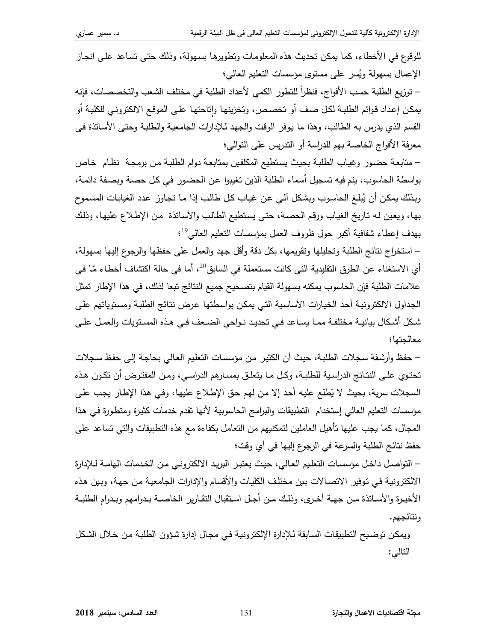للوقوع في الأخطاء، كما يمكن تحديث هذه المعلومات وتطويرها بسهولة، وذلك حتى تساعد على انجاز الإعمال بسهولة ويُسر على مستوى مؤسسات التعليم العالي؛

– توزيع الطلبة حسب الأفواج، فنظراً للتطور الكمي لأعداد الطلبة في مختلف الشعب والتخصصات، فإنه يمكن إعداد قوائم الطلبة لكل صف أو تخصص، وتخزينها واتاحتها على الموقع الالكتروني للكلية أو القسم الذي يدرس به الطالب، وهذا ما يوفر الوقت والجهد للإدارات الجامعية والطلبة وحتى الأساتذة في معرفة الأفواج الخاصة بهم للدراسة أو الندريس على النوالي؛

– متابعة حضور وغياب الطلبة بحيث يستطيع المكلفين بمتابعة دوام الطلبة من برمجة نظام خاص بواسطة الحاسوب، يتم فيه تسجيل أسماء الطلبة الذين تغيبوا عن الحضور في كل حصـة وبصـفة دائمـة، وبذلك بمكن أن يُبلغ الحاسوب وبشكل آلى عن غياب كل طالب إذا ما تجاوز عدد الغيابات المسموح بها، ويعين له تاريخ الغياب ورقم الحصنة، حتى يستطيع الطالب والأساتذة ًمن الإطلاع عليها، وذلك بهدف إعطاء شفافية أكبر حول ظروف العمل بمؤسسات التعليم العالمي<sup>19</sup>؛

– استخراج نتائج الطلبة وتحليلها وتقويمها، بكل دقة وأقل جهد والعمل على حفظها والرجوع إليها بسهولة، أي الاستغناء عن الطرق النقليدية التي كانت مستعملة في السابق<sup>20</sup>، أما في حالة اكتشاف أخطاء مَّا في علامات الطلبة فإن الحاسوب بمكنه بسهولة القيام بتصحيح جميع النتائج تبعا لذلك، في هذا الإطار تمثل الجداول الالكترونية أحد الخيارات الأساسية التي يمكن بواسطتها عرض نتائج الطلبة ومستوياتهم على شكل أشكال بيانيـة مختلفـة ممـا يسـاعد فـي تحديـد نـواحي الضـعف فـي هـذه المسـتويات والعمـل علـي معالجتها؛

– حفظ وأرشفة سجلات الطلبة، حيث أن الكثير من مؤسسات التعليم العالي بحاجة إلى حفظ سجلات تحتوي علـى النتـائج الدراسـية للطلبـة، وكـل مـا يتعلـق بمسـارهم الدراسـي، ومـن المفتـرض أن تكـون هـذه السجلات سرية، بحيث لا يِّطلع عليه أحد إلا من لهم حق الإطلاع عليها، وفـي هذا الإطـار يجب علـي مؤسسات التعليم العالي إستخدام التطبيقات والبرامج الحاسوبية لأنها تقدم خدمات كثيرة ومتطورة في هذا المجال، كما يجب عليها تأهيل العاملين لتمكنيهم من التعامل بكفاءة مع هذه التطبيقات والتي تساعد على حفظ نتائج الطلبة والسرعة في الرجوع إليها في أي وقت؛

– التواصل داخل مؤسسات التعليم العالي، حيث يعتبر البريد الالكتروني من الخدمات الهامة لـلإدارة الالكترونية في توفير الاتصالات بين مختلف الكليات والأقسام والإدارات الجامعية من جهة، وبين هذه الأخيرة والأساتذة من جهة أخرى، وذلك من أجل استقبال التقارير الخاصـة بـدوامهم وبـدوام الطلبـة ونتائجهم.

ويمكن توضيح التطبيقات السابقة لـلإدارة الإلكترونية في مجال إدارة شؤون الطلبة من خلال الشكل التالي: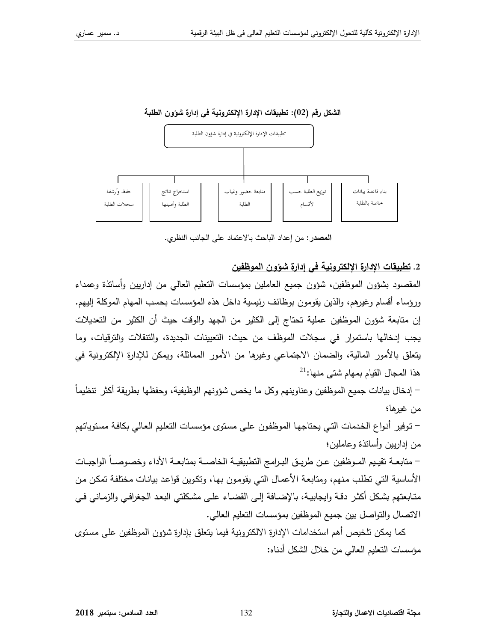



**المصدر :** من إعداد الباحث بالاعتماد على الجانب النظري.

# 2. تطبيقات الإدارة الإلكترونية في إدارة شوون الموظفين

المقصود بشؤون الموظفين، شؤون جميع العاملين بمؤسسات التعليم العالمي من إداريين وأساتذة وعمداء ورؤساء أقسام وغيرهم، والذين يقومون بوظائف رئيسية داخل هذه المؤسسات بحسب المهام الموكلة إليهم. إن متابعة شؤون الموظفين عملية تحتاج إلى الكثير من الجهد والوقت حيث أن الكثير من التعديلات يجب إدخالها باستمرار في سجلات الموظف من حيث: التعيينات الجديدة، والتتقلات والترقيات، وما يتعلَّق بالأمور المالية، والضمان الاجتماعي وغيرها من الأمور المماثلة، ويمكن للإدارة الإلكترونية في هذا المجال القيام بمهام شتى منها:<sup>21</sup>

– إدخال بيانات جميع الموظفين وعناوينهم وكل ما يخص شؤونهم الوظيفية، وحفظها بطريقة أكثر تنظيماً من غيرها؛

– توفير أنواع الخدمات التي يحتاجها الموظفون على مستوى مؤسسات التعليم العالي بكافة مستوياتهم من إداريين وأسانذة وعاملين؛

– متابعــة تقيـيم المـوظفين عـن طريــق البـرامج النطبيقيــة الـخاصـــة بمتابعــة الأداء وخصوصــاً الواجبــات الأساسية التي نطلب منهم، ومتابعة الأعمال التي يقومون بها، وتكوين قواعد بيانات مختلفة تمكن من متابعتهم بشكل أكثر دقـة وايجابيـة، بالإضـافة إلـي القضـاء علـي مشكلتـي البعد الجغرافـي والزمـانـي فـي الاتصال والتواصل بين جميع الموظفين بمؤسسات التعليم العالي.

كما يمكن تلخيص أهم استخدامات الإدارة الالكترونية فيما يتعلق بإدارة شؤون الموظفين على مستوى مؤسسات النعليم العالي من خلال الشكل أدناه: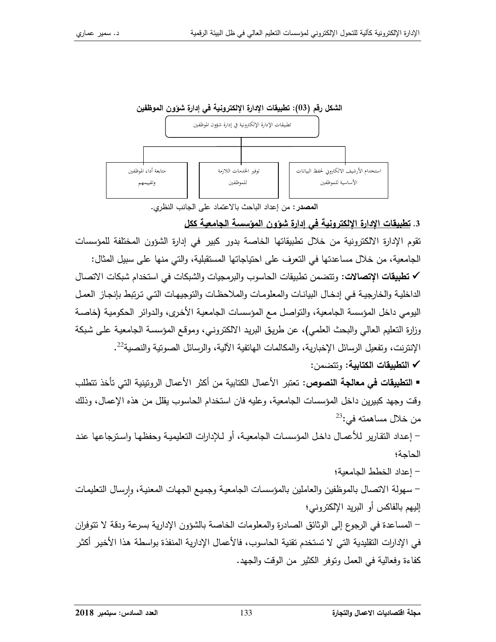

ا**لمصد**ر : من إعداد الباحث بالاعتماد على الجانب النظري.

3. <u>تطبيقات الإدارة الإلكترونية في إدارة شؤون المؤسسة الجامعية ككل</u>

تقوم الإدارة الالكترونية من خلال تطبيقاتها الخاصة بدور كبير في إدارة الشؤون المختلفة للمؤسسات الجامعية، من خلال مساعدتها في التعرف على احتياجاتها المستقبلية، والتي منها على سبيل المثال: √ تطبيقات الإتصالات: ونتضمن تطبيقات الحاسوب والبرمجيات والشبكات في استخدام شبكات الاتصال الداخلية والخارجية في إدخال البيانات والمعلومات والملاحظات والتوجيهات التي ترتبط بإنجاز العمل اليومي داخل المؤسسة الجامعية، والتواصل مع المؤسسات الجامعية الأخرى، والدوائر الحكومية (خاصـة رزارة التعليم العالي والبحث العلمي)، عن طريق البريد الالكتروني، وموقع المؤسسة الجامعية على شبكة الإنترنت، وتفعيل الرسائل الإخبارية، والمكالمات الـهاتفية الآلية، والرسائل الصوتية والنصية<sup>22</sup>.

✔ التطبيقات الكتابية: ونتضمن:

■ ا**لتطبيقات في معالجة النصوص**: تعتبر الأعمال الكتابية من أكثر الأعمال الروتينية التي تأخذ تتطلب وقت وجهد كبيرين داخل المؤسسات الجامعية، وعليه فان استخدام الحاسوب يقلل من هذه الإعمال، وذلك  $^{23}$ : من خلال مساهمته في

– إعداد النقارير للأعمـال داخـل المؤسسـات الجامعيـة، أو لـلإدارات التعليميـة وحفظـهـا واسـترجاعـها عنـد الحاجة؛

– إعداد الخطط الجامعية؛

– سهولة الاتصال بالموظفين والعاملين بالمؤسسات الجامعية وجميع الجهات المعنية، وإرسال التعليمات إليهم بالفاكس أو البريد الإلكتروني؛

– المساعدة في الرجوع إلى الوثائق الصادرة والمعلومات الخاصة بالشؤون الإدارية بسرعة ودقة لا نتوفران في الإدارات التقليدية التي لا تستخدم تقنية الحاسوب، فالأعمال الإدارية المنفذة بواسطة هذا الأخير أكثر كفاءة وفعالية في العمل وتوفر الكثير من الوقت والجهد.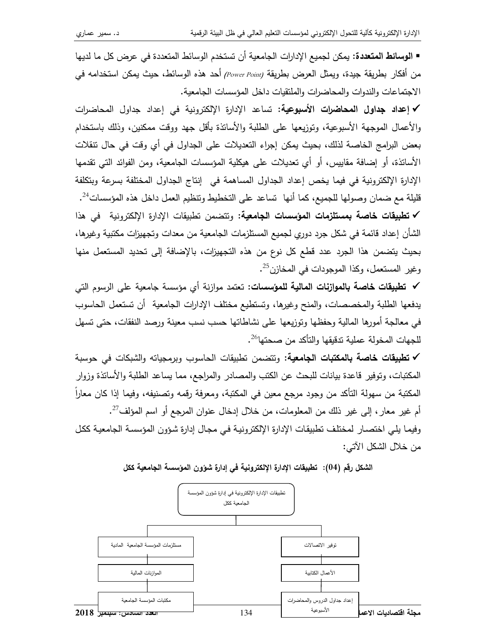■ ا**لوسائط المتعددة:** يمكن لجميع الإدارات الجامعية أن تستخدم الوسائط المتعددة في عرض كل ما لديها من أفكار بطريقة جيدة، ويمثل العرض بطريقة (Power Point) أحد هذه الوسائط، حيث يمكن استخدامه في الاجتماعات والندوات والمحاضرات والملتقيات داخل المؤسسات الجامعية.

√ إعداد جداول المحاضرات الأسبوعية: تساعد الإدارة الإلكترونية في إعداد جداول المحاضرات والأعمال الموجهة الأسبوعية، ونوزيعها على الطلبة والأسانذة بأقل جهد ووقت ممكنين، وذلك باستخدام بعض البرامج الخاصة لذلك، بحيث يمكن إجراء التعديلات على الجداول في أي وقت في حال تتقلات الأسانذة، أو إضافة مقاييس، أو أي تعديلات على هيكلية المؤسسات الجامعية، ومن الفوائد التي تقدمها الإدارة الإلكترونية في فيما يخص إعداد الجداول المساهمة في إنتاج الجداول المختلفة بسرعة وبتكلفة قليلة مع ضمان وصولها للجميع، كما أنها تساعد على التخطيط وتتظيم العمل داخل هذه المؤسسات<sup>24</sup>. ✔ تطبيقات خاصة بمستلزمات المؤسسات الجامعية: وتتضمن تطبيقات الإدارة الإلكترونية في هذا الشأن إعداد قائمة في شكل جرد دوري لجميع المستلزمات الجامعية من معدات وتجهيزات مكتبية وغيرها، بحيث يتضمن هذا الجرد عدد قطع كل نوع من هذه التجهيزات، بالإضافة إلى تحديد المستعمل منها وغير المستعمل، وكذا الموجودات في المخازن<sup>25</sup>.

✔ تطبيقات خاصة بالموازنات المالية للمؤسسات: تعتمد موازنة أي مؤسسة جامعية على الرسوم التي يدفعها الطلبة والمخصصات، والمنح وغيرها، وتستطيع مختلف الإدارات الجامعية أن تستعمل الحاسوب في معالجة أمورها المالية وحفظها وتوزيعها على نشاطاتها حسب نسب معينة ورصد النفقات، حتى نسهل للجهات المخولة عملية تدقيقها والتأكد من صحتها<sup>26</sup>.

✔ تطبيقات خاصة بالمكتبات الجامعية: ونتضمن نطبيقات الحاسوب وبرمجيانه والشبكات في حوسبة المكتبات، وتوفير قاعدة بيانات للبحث عن الكتب والمصادر والمراجع، مما يساعد الطلبة والأساتذة وزوار المكتبة من سهولة التأكد من وجود مرجع معين في المكتبة، ومعرفة رقمه وتصنيفه، وفيما إذا كان معاراً أم غير معار ، إلى غير ذلك من المعلومات، من خلال إدخال عنوان المرجع أو اسم المؤلف<sup>27</sup>. وفيما يلي اختصار لمختلف تطبيقات الإدارة الإلكترونية في مجال إدارة شؤون المؤسسة الجامعية ككل من خلال الشكل الآتي:



الشكل رقم (04): تطبيقات الإدارة الإلكترونية في إدارة شؤون المؤسسة الجامعية ككل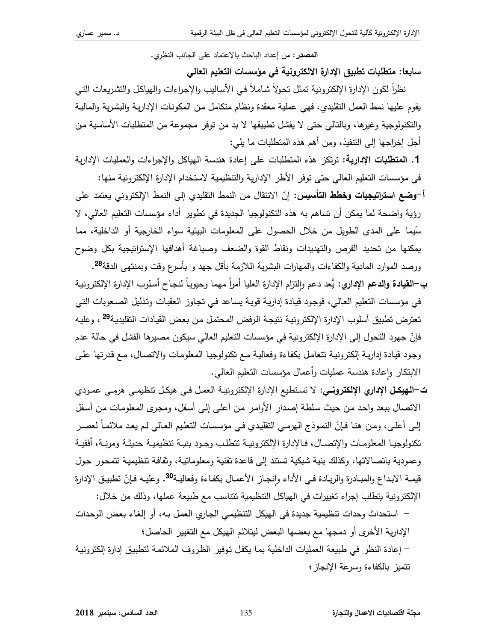المصدر: من إعداد الباحث بالاعتماد على الجانب النظري.

سابعا: متطلبات تطبيق الادارة الالكترونية في مؤسسات التعليم العالي

نظراً لكون الإدارة الإلكترونية تمثل تحولاً شاملاً في الأساليب والإجراءات والهياكل والتشريعات التي يقوم عليها نمط العمل النقليدي، فهي عملية معقدة ونظام متكامل من المكونات الإدارية والبشرية والمالية والتكنولوجية وغيرها، وبالنالي حتى لا يفشل نطبيقها لا بد من نوفر مجموعة من المنطلبات الأساسية من أجل إخراجها إلى النتفيذ، ومن أهم هذه المتطلبات ما يلي:

1. المتطلبات الإدارية: ترتكز هذه المتطلبات على إعادة هندسة الهياكل والإجراءات والعمليات الإدارية في مؤسسات التعليم العالي حتى توفر الأطر الإدارية والتنظيمية لاستخدام الإدارة الإلكترونية منها:

أ–**وضع استراتيجيات وخطط التأسيس**: إنّ الانتقال من النمط التقليدي إلى النمط الإلكتروني يعتمد على رؤية واضحة لما يمكن أن تساهم به هذه التكنولوجيا الجديدة في تطوير أداء مؤسسات التعليم العالي، لا سِّيما على المدى الطويل من خلال الحصول على المعلومات البيئية سواء الخارجية أو الداخلية، مما يمكنها من تحديد الفرص والتهديدات ونقاط القوة والضعف وصباغة أهدافها الإسترانيجية بكل وضوح

ورصد الموارد المادية والكفاءات والمهارات البشرية اللازمة بأقل جهد و بأسرع وقت وبمنتهى الدقة<sup>28</sup>. ب—ا**لقيادة والدعم الإداري**: يُعد دعم والنزام الإدارة العليا أمراً مهما وحيوياً لنجاح أسلوب الإدارة الإلكترونية في مؤسسات التعليم العالي، فوجود قيادة إدارية قوية يساعد في تجاوز العقبات وتذليل الصعوبات التي تعترض تطبيق أسلوب الإدارة الإلكترونية نتيجة الرفض المحتمل من بعض القيادات التقليدية<sup>29</sup> ، وعليه فإنّ جهود التحول إلى الإدارة الإلكترونية في مؤسسات التعليم العالي سيكون مصبرها الفشل في حالة عدم وجود قيادة إدارية إلكترونية تتعامل بكفاءة وفعالية مع تكنولوجيا المعلومات والاتصال، مع قدرتها على الابنكار واعادة هندسة عمليات وأعمال مؤسسات النعليم العالمي.

- ت–الهيكـل الإداري الإلكترونـي: لا تستطيع الإدارة الإلكترونيـة العمـل فـي هيكـل تنظيمـي هرمـي عمـودي الاتصال ببعد واحد من حيث سلطة إصدار الأوامر من أعلى إلى أسفل، ومجرى المعلومات من أسفل إلى أعلـى، ومن هنـا فـإنّ النمـوذج الـهرمـى النقليدي فـى مؤسسـات النعليم الـعـالـى لـم يعـد ملائمـاً لعصـر تكنولوجيا المعلومات والإتصال، فالإدارة الإلكترونية تتطلب وجود بنية تنظيمية حديثة ومرنـة، أفقيـة وعمودية باتصالاتها، وكذلك بنية شبكية تستند إلى قاعدة تقنية ومعلوماتية، وثقافة تنظيمية تتمحور حول قيمـة الابـداع والمبـادرة والريـادة فـي الأداء وانجـاز الأعمـال بكفـاءة وفعاليـة<sup>30</sup>. وعليـه فـإنّ تطبيـق الإدارة الإلكترونية يتطلب إجراء تغييرات في الهياكل التنظيمية تتناسب مع طبيعة عملها، وذلك من خلال:
- استحداث وحدات تنظيمية جديدة في الهيكل التنظيمي الجاري العمل بـه، أو إلغاء بعض الوحدات الإدارية الأخرى أو دمجها مع بعضها البعض ليتلائم الهيكل مع التغيير الحاصل؛

– إعادة النظر في طبيعة العمليات الداخلية بما يكفل توفير الظروف الملائمة لتطبيق إدارة إلكترونية تتميز بالكفاءة وسرعة الإنجاز ؛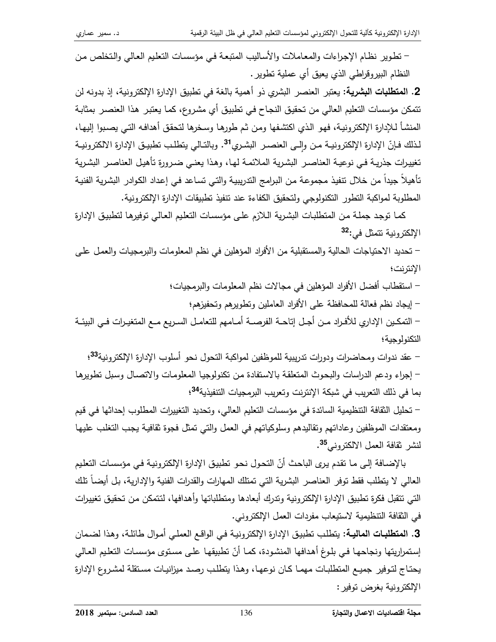– تطوير نظام الإجراءات والمعاملات والأساليب المتبعة في مؤسسات التعليم العالي والتخلص من النظام البيروقراطي الذي يعيق أي عملية نطوير .

2. المتطلبات البشرية: يعتبر العنصر البشري ذو أهمية بالغة في تطبيق الإدارة الإلكترونية، إذ بدونه لن نتمكن مؤسسات النعليم العالي من نحقيق النجاح في نطبيق أي مشروع، كما يعتبر هذا العنصر بمثابـة المنشأ لـلإدارة الإلكترونية، فهو الذي اكتشفها ومن ثم طورها وسخرها لتحقق أهدافه التـى يصبوا إليها، لـذلك فـإنّ الإدارة الإلكترونيــة مـن وإلــى العنصــر البشـري<sup>31</sup>. وبالتـالـي يتطلـب تطبيـق الإدارة الالكترونيــة تغييرات جذريـة فـي نوعيـة العناصـر البشـريـة الملائمـة لـهـا، وهذا يعنـي ضـرورة تأهيل العناصـر البشـريـة تأهيلاً جيداً من خلال نتفيذ مجموعة من البرامج الندريبية والتي تساعد في إعداد الكوادر البشرية الفنية المطلوبة لمواكبة النطور النكنولوجي ولنحقيق الكفاءة عند نتفيذ نطبيقات الإدارة الإلكترونية.

كما توجد جملة من المتطلبات البشرية اللازم على مؤسسات التعليم العالي توفيرها لتطبيق الإدارة الإلكترونية نتمثل في:<sup>32</sup>

– تحديد الاحتياجات الحالية والمستقبلية من الأفراد المؤهلين في نظم المعلومات والبرمجيات والعمل على الإنترنت؛

– استقطاب أفضل الأفراد المؤهلين في مجالات نظم المعلومات والبرمجيات؛

– إيجاد نظم فعالة للمحافظة على الأفراد العاملين ونطويرهم وتحفيزهم؛

– التمكـين الإداري للأفـراد مـن أجـل إنـاحـة الفرصــة أمــامـهم للتعامــل السـريـع مــع المتغيـرات فــي البيئــة التكنولوجية؛

– عقد ندوات ومحاضرات ودورات ندريبية للموظفين لمواكبة التحول نحو أسلوب الإدارة الإلكترونية<sup>33</sup>؛ – إجراء ودعم الدراسات والبحوث المتعلقة بالاستفادة من تكنولوجيا المعلومات والاتصال وسبل تطويرها بما في ذلك التعريب في شبكة الإنترنت وتعريب البرمجيات التتفيذية<sup>34</sup>؛

– تحليل الثقافة التنظيمية السائدة في مؤسسات التعليم العالي، وتحديد التغييرات المطلوب إحداثها في قيم ومعتقدات الموظفين وعاداتهم وتقاليدهم وسلوكياتهم في العمل والتي تمثل فجوة ثقافية يجب التغلب عليها لنشر نقافة العمل الالكتروني<sup>35</sup>.

بالإضافة إلى ما تقدم يرى الباحث أنّ التحول نحو تطبيق الإدارة الإلكترونية في مؤسسات التعليم العالى لا يتطلب فقط توفر العناصر البشرية التي تمتلك المهارات والقدرات الفنية والإدارية، بل أيضـاً تلك التي تتقبل فكرة تطبيق الإدارة الإلكترونية وتدرك أبعادها ومتطلباتها وأهدافها، لتتمكن من تحقيق تغييرات في الثقافة النتظيمية لاستيعاب مفردات العمل الإلكتروني.

3. المتطلبات الماليـة: يتطلب تطبيق الإدارة الإلكترونيـة فـي الواقـع العملـي أمـوال طائلـة، وهذا لضـمان إستمراريتها ونجاحها في بلوغ أهدافها المنشودة، كما أنّ تطبيقها على مستوى مؤسسات التعليم العالي يحتاج لتوفير جميع المنطلبات مهما كان نوعها، وهذا يتطلب رصد ميزانيات مستقلة لمشروع الإدارة الإلكترونية بغرض توفير :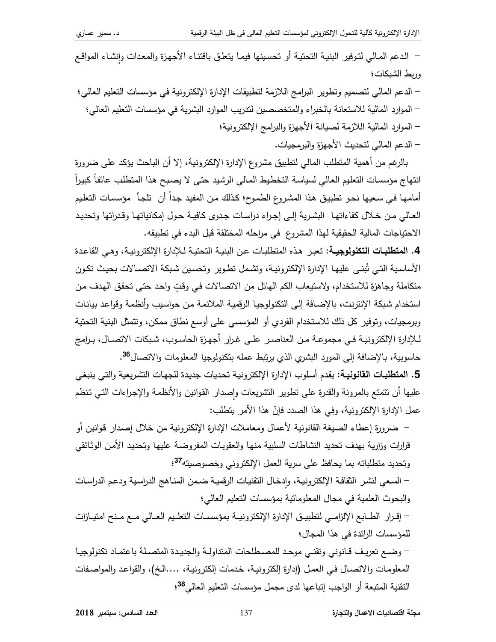– الدعم المالي لتوفير البنية التحتية أو تحسينها فيما يتعلق باقتناء الأجهزة والمعدات وإنشاء المواقع وربط الشبكات؛

– الدعم المالي لتصميم وتطوير البرامج اللازمة لتطبيقات الإدارة الإلكترونية في مؤسسات التعليم العالي؛ – الموارد المالية للاستعانة بالخبراء والمتخصصين لتدريب الموارد البشرية في مؤسسات التعليم العالي؛ – الموارد المالية اللازمة لصيانة الأجهزة والبرامج الإلكترونية؛

– الدعم المالي لتحديث الأجهزة والبرمجيات.

بالرغم من أهمية المنطلب المالي لنطبيق مشروع الإدارة الإلكترونية، إلا أن الباحث بؤكد على ضرورة انتهاج مؤسسات التعليم العالي لسياسة التخطيط المالي الرشيد حتى لا يصبح هذا المتطلب عائقاً كبيراً أمامها في سعيها نحو نطبيق هذا المشروع الطموح؛ كذلك من المفيد جداً أن نلجأ مؤسسات النعليم العالى من خلال كفاءاتها البشرية إلى إجراء دراسات جدوى كافية حول إمكانياتها وقدراتها وتحديد الاحتياجات المالية الحقيقية لهذا المشروع ًفي مراحله المختلفة قبل البدء في تطبيقه.

4. المتطلبات التكنولوجيـة: تعبر هذه المتطلبات عن البنيـة التحتيـة لـلإدارة الإلكترونيـة، وهـي القاعدة الأساسية التـي تُبنـي عليهـا الإدارة الإلكترونيـة، وتشـمل تطـوير وتحسـين شـبكة الاتصــالات بـحيث تكـون متكاملة وجاهزة للاستخدام، ولاستيعاب الكم الهائل من الاتصالات في وقتٍ واحد حتى تحقق الهدف من استخدام شبكة الإنترنت، بالإضافة إلى التكنولوجيا الرفمية الملائمة من حواسيب وأنظمة وقواعد بيانات وبرمجيات، وتوفير كل ذلك للاستخدام الفردي أو المؤسسي على أوسع نطاق ممكن، وتتمثّل البنية التحتية لـلإدارة الإلكترونيـة فـي مجموعـة مـن العناصـر علـى غـرار أجهزة الحاسـوب، شـبكات الاتصـال، بـرامج حاسوبية، بالإضافة إلى المورد البشري الذي يرتبط عمله بتكنولوجيا المعلومات والاتصال<sup>36</sup>.

5. المتطلبات القانونية: يقدم أسلوب الإدارة الإلكترونية تحديات جديدة للجهات التشريعية والتي ينبغي عليها أن نتمتع بالمرونة والقدرة على نطوير التشريعات واصدار القوانين والأنظمة والإجراءات التي تنظم عمل الإدارة الإلكترونية، وفي هذا الصدد فإنّ هذا الأمر يتطلب:

– ضرورة إعطاء الصيغة القانونية لأعمال ومعاملات الإدارة الإلكترونية من خلال إصدار قوانين أو قرارات وزارية بهدف تحديد النشاطات السلبية منها والعقوبات المفروضة عليها وتحديد الأمن الوثائقي وتحديد متطلباته بما يحافظ على سرية العمل الإلكتروني وخصوصيته<sup>37</sup>؛

– السعى لنشر الثقافة الإلكترونية، وادخال التقنيات الرقمية ضمن المناهج الدراسية ودعم الدراسات والبحوث العلمية في مجال المعلومانية بمؤسسات النعليم العالي؛

– إقــرار الطــابـع الإلزامــي لتطبيــق الإدارة الإلكترونيــة بمؤسســات التعلــيم العــالي مــع مـنح امتيــازات للمؤسسات الرائدة في هذا المجال؛

– وضع تعريف قانوني وتقنى موحد للمصطلحات المتداولة والجديدة المتصلة باعتماد تكنولوجيا المعلومات والاتصـال في العمل (إدارة إلكترونيـة، خدمات إلكترونيـة، ….الـخ)، والقواعد والمواصـفات النقنية المنبعة أو الواجب إنباعها لدى مجمل مؤسسات النعليم العالمي<sup>38</sup>؛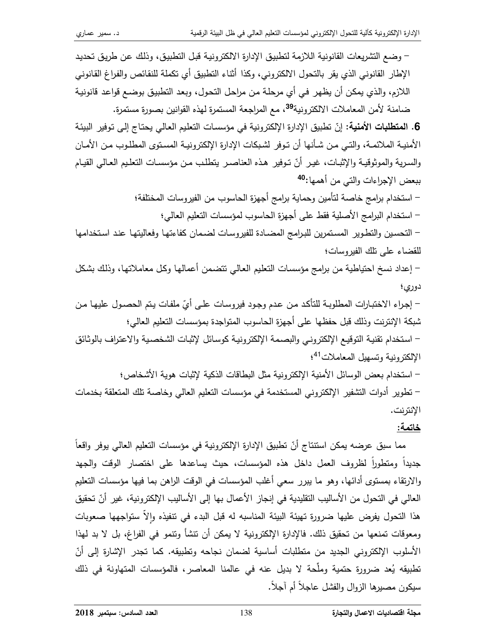– وضع التشريعات القانونية اللازمة لتطبيق الإدارة الالكترونية قبل التطبيق، وذلك عن طريق تحديد الإطار القانوني الذي يقر بالتحول الالكتروني، وكذا أثناء التطبيق أي تكملة للنقائص والفراغ القانوني اللازم، والذي يمكن أن يظهر في أي مرحلة من مراحل التحول، وبعد التطبيق بوضـع قواعد قانونيـة ضامنة لأمن المعاملات الالكترونية<sup>39</sup>، مع المراجعة المستمرة لهذه القوانين بصورة مستمرة. 6. المتطلبات الأمنية: إنّ نطبيق الإدارة الإلكترونية في مؤسسات النعليم العالي يحتاج إلى نوفير البيئة الأمنيــة الملائمــة، والتــى مـن شـأنـها أن تـوفر لشـبكات الإدارة الإلكترونيــة المسـتوى المطلـوب مـن الأمــان والسرية والموثوقية والإثبات، غير أنّ توفير هذه العناصر يتطلب من مؤسسات التعليم العالي القيام ببعض الإجراءات والتي من أهمها:<sup>40</sup> – استخدام برامج خاصة لتأمين وحماية برامج أجهزة الحاسوب من الفيروسات المختلفة؛ – استخدام البرامج الأصلية فقط على أجهزة الحاسوب لمؤسسات التعليم العالي؛ – التحسين والتطوير المستمرين للبرامج المضبادة للفيروسات لضمان كفاءتها وفعاليتها عند استخدامها للقضاء على نلك الفيروسات؛ – إعداد نسخ احتياطية من برامج مؤسسات التعليم العالمي تتضمن أعمالها وكل معاملاتها، وذلك بشكل دوري؛ – إجراء الاختبارات المطلوبــة للتأكد مـن عدم وجـود فيروسـات علـى أيّ ملفـات يـتم الحصــول عليهـا مـن شبكة الإنترنت وذلك قبل حفظها على أجهزة الحاسوب المتواجدة بمؤسسات التعليم العالي؛ – استخدام تقنية التوقيع الإلكتروني والبصمة الإلكترونية كوسائل لإثبات الشخصية والاعتراف بالوثائق الإلكترونية وتسهيل المعاملات<sup>41</sup>؛ – استخدام بعض الوسائل الأمنية الإلكترونية مثل البطاقات الذكية لإثبات هوية الأشخاص؛ – تطوير أدوات التشفير الإلكتروني المستخدمة في مؤسسات التعليم العالي وخاصة نلك المتعلقة بخدمات الإنترنت. خاتمة: مما سبق عرضه يمكن استتتاج أنّ تطبيق الإدارة الإلكترونية في مؤسسات التعليم العالي يوفر واقعاً

جديداً ومنطوراً لظروف العمل داخل هذه المؤسسات، حيث يساعدها على اختصار الوقت والجهد والارتقاء بمستوى أدائها، وهو ما ببرر سعى أغلب المؤسسات في الوقت الراهن بما فيها مؤسسات التعليم العالي في التحول من الأساليب التقليدية في إنجاز الأعمال بها إلى الأساليب الإلكترونية، غير أنّ تحقيق هذا النحول يفرض عليها ضرورة تهيئة البيئة المناسبه له قبل البدء في نتفيذه والأ ستواجهها صعوبات ومعوقات تمنعها من تحقيق ذلك. فالإدارة الإلكترونية لا يمكن أن تتشأ وتتمو في الفراغ، بل لا بد لهذا الأسلوب الإلكتروني الجديد من متطلبات أساسية لضمان نجاحه وتطبيقه. كما تجدر الإشارة إلى أنّ تطبيقه يُعد ضرورة حتمية وملَّحة لا بديل عنه في عالمنا المعاصر ، فالمؤسسات المتهاونة في ذلك سبكون مصبرها الزوال والفشل عاجلاً أم آجلاً.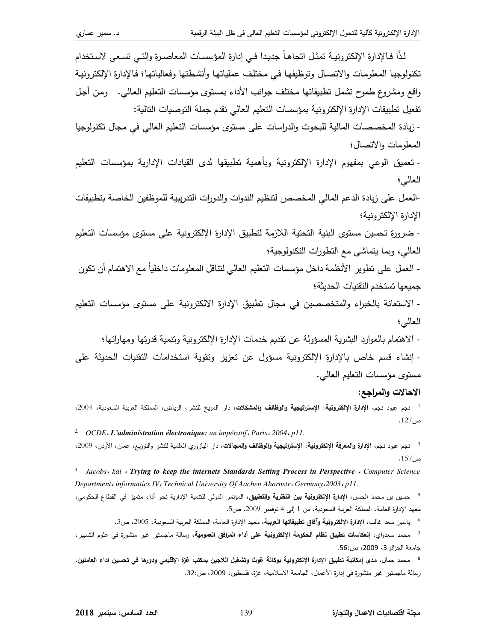لذًّا فـالإدارة الإلكتر ونيـة تمثـل اتجاهـاً جديـدا فـي إدارة المؤسسـات المعاصـرة والتـي تسـعـي لاسـتخدام تكنولوجيا المعلومات والاتصال وتوظيفها في مختلف عملياتها وأنشطتها وفعالياتها؛ فالإدارة الإلكترونية واقع ومشروع طموح نتثمل نطبيقاتها مختلف جوانب الأداء بمستوى مؤسسات النعليم العالمي. ومن أجل تفعيل نطبيقات الإدارة الإلكترونية بمؤسسات التعليم العالى نقدم جملة التوصيات التالية: - زيادة المخصصات المالية للبحوث والدراسات على مستوى مؤسسات التعليم العالي في مجال تكنولوجيا المعلومات والاتصال؛ - نعميق الوعي بمفهوم الإدارة الإلكترونية وبأهمية نطبيقها لدى القيادات الإدارية بمؤسسات النعليم العالي؛ -العمل على زيادة الدعم المالي المخصص لتنظيم الندوات والدورات التدريبية للموظفين الخاصة بتطبيقات الإدارة الإلكتر ونبة؛ - ضرورة تحسين مستوى البنية التحتية اللازمة لتطبيق الإدارة الإلكترونية على مستوى مؤسسات التعليم العالمي، وبما يتماشى مع النطورات النكنولوجية؛ - العمل على تطوير الأنظمة داخل مؤسسات التعليم العالي لتناقل المعلومات داخلياً مع الاهتمام أن تكون جميعها تستخدم التقنيات الحديثة؛ - الاستعانة بالخبراء والمتخصصين في مجال تطبيق الإدارة الالكترونية على مستوى مؤسسات التعليم العالي؛ - الاهتمام بالموارد البشرية المسؤولة عن تقديم خدمات الإدارة الإلكترونية وتتمية قدرتها ومهاراتها؛ - إنشاء قسم خاص بالإدارة الإلكترونية مسؤول عن تعزيز وتقوية استخدامات التقنيات الحديثة على مستوى مؤسسات التعليم العالمي.

## <u>الاحالات والمراجع:</u>

<sup>1.</sup> نجم عبود نجم، الإ**دارة الإلكترونية: الإستراتيجية والوظائف والمشكلات**، دار المريخ للنشر ، الرياض، المملكة العربية السعودية، 2004، ص127.

<sup>2.</sup> OCDE<sub>*i*</sub> **L'administration électronique**: un impératif<sub>i</sub> Paris<sub>*i*</sub> 2004</sub>, p11.

<sup>3.</sup> نجم عبود نجم، الإ**دارة والمعرفة الإلكترونية: الإستراتيجية والوظائف والمجالات،** دار البازوري العلمية للنشر والتوزيع، عمان، الأردن، 2009،  $.157<sub>i</sub>$ ص

<sup>4.</sup> Jacobs، kai ، Trying to keep the internets Standards Setting Process in Perspective ، Computer Science Department informatics IV : Technical University Of Aachen Ahornstr : Germany : 2003 : p11.

<sup>5.</sup> حسين بن محمد الحسن، ا**لإدارة الإلكترونية بين النظرية والتطبيق**، المؤتمر الدولي للتتمية الإدارية نحو أداء متميز في القطاع الحكومي، معهد الإدارة العامة، المملكة العربية السعودية، من 1 إلى 4 نوفمبر 2009، ص5.

<sup>6.</sup> ياسين سعد غالب، الإ**دارة الإلكترونية وآفاق تطبيقاتها العربية**، معهد الإدارة العامة، المملكة العربية السعودية، 2005، ص3.

<sup>7.</sup> محمد سعدواي، إ**نعكاسات تطبيق نظام الحكومة الإلكترونية على أداء المرافق العمومية،** رسالة ماجستير غير منشورة في علوم التسيير ، جامعة الجزائر 3، 2009، ص:56.

<sup>8.</sup> محمد جمال، مدى إمكانية تطبيق الإدارة الإلكترونية بوكالة غوث وتشغيل اللاجين بمكتب غزة الإقليمي ودورها في تحسين اداء العاملين، رسالة ماجستير غير منشورة في إدارة الأعمال، الجامعة الاسلامية، غزة، فلسطين، 2009، ص:32.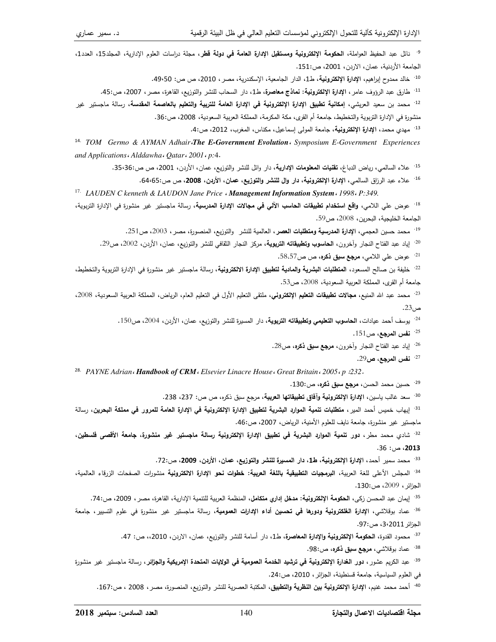<sup>9.</sup> نائل عبد الحفيظ العواملة، ا**لحكومة الإلكترونية ومستقبل الإدارة العامة في دولة قط**ر، مجلة دراسات العلوم الإدارية، المجلد15، العدد1، الجامعة الأردنية، عمان، الاردن، 2001، ص:151. <sup>10.</sup> خالد ممدوح إبراهيم، الإ**دارة الإلكترونية**، ط1، الدار الجامعية، الإسكندرية، مصر ، 2010، ص ص: 50·49. <sup>11.</sup> طارق عبد الرؤوف عامر ، **الإدارة الإلكترونية: نماذج معاصرة**، ط1، دار السحاب للنشر والتوزيع، القاهرة، مصر ، 2007، ص:45. <sup>12.</sup> محمد بن سعيد العريشي، إ**مكانية تطبيق الإدارة الإلكترونية في الإدارة العامة للتربية والتعليم بالعاصمة المقدسة، رسالة ماجستير غير** منشورة في الإدارة التزبوية والتخطيط، جامعة أم القرى، مكة المكرمة، المملكة العربية السعودية، 2008، ص:36. <sup>13.</sup> مهدي محمد، الإدارة الإلكترونية، جامعة المولى إسماعيل، مكناس، المغرب، 2012، ص:4. <sup>14.</sup> TOM Germo & AYMAN Adhair The E-Government Evolution Symposium E-Government Experiences and Applications . Alddawha . Qatar . 2001 . p:4. <sup>15.</sup> علاء السالمي، رياض الدباغ، **نقنيات المعلومات الإدارية**، دار وائل للنشر والتوزيع، عمان، الأردن، 2001، ص ص:56:36. <sup>16.</sup> علاء عبد الرزاق السالمي، الإدارة الإلكترونية، دار وال للنشر والتوزيع، عمان، الأردن، **2008**، ص ص:64،65. <sup>17.</sup> LAUDEN C kenneth & LAUDON Jane Price «Management Information System « 1998 « P:349. <sup>18.</sup> عوض على اللامي، **واقع استخدام تطبيقات الحاسب الآلى في مجالات الإدارة المدرسية**، رسالة ماجستير غير منشورة في الإدارة التربوية، الجامعة الخليجية، البحرين، 2008، ص59. <sup>19.</sup> محمد حسين العجمي، الإ**دارة المدرسية ومتطلبات العصر** ، العالمية للنشر والتوزيع، المنصورة، مصر ، 2003، ص251. <sup>20.</sup> إياد عبد الفتاح النجار وأخرون، **الحاسوب وتطبيقاته التربوية،** مركز النجار الثقافي للنشر والتوزيع، عمان، الأردن، 2002، ص29. <sup>21.</sup> عوض علي اللامي**، مرجع سبق ذكره،** ص ص58،57. <sup>22.</sup> خليفة بن صالح المسعود، ا**لمنطلبات البشرية والمادية لنطبيق الإدارة الالكترونية،** رسالة ماجستير غير منشورة في الإدارة النربوية والتخطيط، جامعة أم القرى، المملكة العربية السعودية، 2008، ص53. <sup>23.</sup> محمد عبد الله المنيع، **مجالات تطبيقات التعليم الإلكتروني**، ملتقى النعليم الأول في النعليم العام، الرياض، المملكة العربية السعودية، 2008،  $.23<sub>0</sub>$ ص <sup>24.</sup> يوسف أحمد عيادات، ا**لحاسوب التعليمي وتطبيقاته التربوية**، دار المسبرة للنشر والتوزيع، عمان، الأردن، 2004، ص150. <sup>25.</sup> نفس المرجع، ص151. <sup>26.</sup> إياد عبد الفتاح النجار وأخرون، **مرجع سبق ذكره**، ص28.  $29$ نفس المرجع، ص $27$ <sup>28.</sup> PAYNE Adrian<sub>'</sub> Handbook of CRM<sup>.</sup> Elsevier Linacre House. Great Britain. 2005. p :232. <sup>29.</sup> حسين محمد الحسن، **مرجع سبق ذكره**، ص:130.

<sup>30.</sup> سعد غالب ياسين، الإ**دارة الإلكترونية وآفاق تطبيقاتها العربية**، مرجع سبق ذكره، ص ص: 237، 238.

<sup>31.</sup> إيهاب خميس أحمد المير ، **متطلبات تنمية الموارد البشرية لتطبيق الإدارة الإلكترونية في الإدارة العامة للمرور في مملكة البحرين، رسالة** ماجستير غير منشورة، جامعة نايف للعلوم الأمنية، الرياض، 2007، ص:46.

<sup>32.</sup> شادي محمد مطر، **دور تنمية الموارد البشرية في تطبيق الإدارة الإلكترونية رسالة ماجستير غير منشورة، جامعة الأقصى فلسطين،** 2013، ص: 36.

<sup>33.</sup> محمد سمير أحمد، الإدارة الإلكترون**ية، ط1،** دار المسيرة للنشر والتوزيع، عمان، الأردن، 2009، ص:72.

<sup>34.</sup> المجلس الأعلى للغة العربية، **البرمجيات التطبيقية باللغة العربية: خطوات نحو الإدارة الالكترونية منشورات الصفحات الزرقاء العالمية،** الجزائر ، 2009، ص:130.

<sup>35.</sup> إيمان عبد المحسن زكي، ا**لحكومة الإلكترونية: مدخل إداري متكامل**، المنظمة العربية للتتمية الإدارية، القاهرة، مصر ، 2009، ص:74.

<sup>36.</sup> عماد بوقلاشي، الإ**دارة الغلكترونية ودورها في تحسين أداء الإدارات العمومية،** رسالة ماجستير غير منشورة في علوم التسيير ، جامعة الجزائر 3،2011، ص:97.

<sup>37.</sup> محمود القدوة، ا**لحكومة الإلكترونية والإدارة المعاصرة، ط1**، دار أسامة للنشر والتوزيع، عمان، الاردن، 2010،، ص: 47.

<sup>38.</sup> عماد بوقلاشي، **مرجع سبق ذكره**، ص:98.

<sup>39.</sup> عبد الكريم عشور ، **دور الغدارة الإلكترونية في ترشيد الخدمة العمومية في الولايات المتحدة الإمريكية والجزائر ، رسالة ماجستير غير منشورة** في العلوم السياسية، جامعة فسنطينة، الجزائر، 2010، ص:24.

<sup>40.</sup> أحمد محمد غنيم، الإ**دارة الإلكترونية بين النظرية والتطبيق**، المكتبة العصرية للنشر والتوزيع، المنصورة، مصر، 2008 ، ص:167.